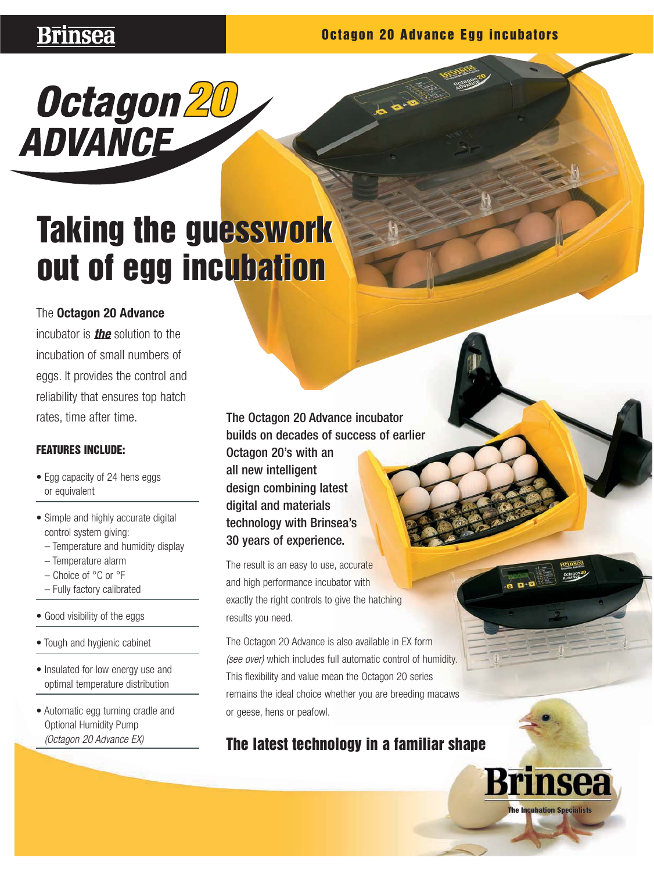# **Brinsea**

## **Octagon 20 Advance Egg incubators**



# **Taking the guesswork Taking the guesswork out of egg incubation out of egg incubation**

# The **Octagon 20 Advance**

incubator is **the** solution to the incubation of small numbers of eggs. It provides the control and reliability that ensures top hatch rates, time after time.

## **FEATURES INCLUDE:**

- Egg capacity of 24 hens eggs or equivalent
- Simple and highly accurate digital control system giving:
	- Temperature and humidity display
	- Temperature alarm
	- Choice of °C or °F
	- Fully factory calibrated
- Good visibility of the eggs
- Tough and hygienic cabinet
- Insulated for low energy use and optimal temperature distribution
- Automatic egg turning cradle and Optional Humidity Pump (Octagon 20 Advance EX)

The Octagon 20 Advance incubator builds on decades of success of earlier Octagon 20's with an all new intelligent design combining latest digital and materials technology with Brinsea's 30 years of experience.

The result is an easy to use, accurate and high performance incubator with exactly the right controls to give the hatching results you need.

(see over) which includes full automatic control of humidity. remains the ideal choice whether you are breeding macaws The Octagon 20 Advance is also available in EX form This flexibility and value mean the Octagon 20 series or geese, hens or peafowl.

# **The latest technology in a familiar shape**

**The Incubation Specialists**

insea